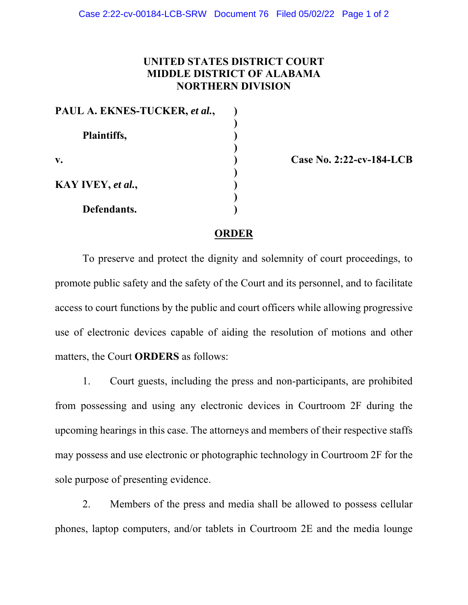## **UNITED STATES DISTRICT COURT MIDDLE DISTRICT OF ALABAMA NORTHERN DIVISION**

| PAUL A. EKNES-TUCKER, et al., |  |
|-------------------------------|--|
| Plaintiffs,                   |  |
|                               |  |
|                               |  |
| $\mathbf{v}$ .                |  |
|                               |  |
| KAY IVEY, et al.,             |  |
|                               |  |
| Defendants.                   |  |

**v. ) Case No. 2:22-cv-184-LCB** 

## **ORDER**

To preserve and protect the dignity and solemnity of court proceedings, to promote public safety and the safety of the Court and its personnel, and to facilitate access to court functions by the public and court officers while allowing progressive use of electronic devices capable of aiding the resolution of motions and other matters, the Court **ORDERS** as follows:

1. Court guests, including the press and non-participants, are prohibited from possessing and using any electronic devices in Courtroom 2F during the upcoming hearings in this case. The attorneys and members of their respective staffs may possess and use electronic or photographic technology in Courtroom 2F for the sole purpose of presenting evidence.

2. Members of the press and media shall be allowed to possess cellular phones, laptop computers, and/or tablets in Courtroom 2E and the media lounge